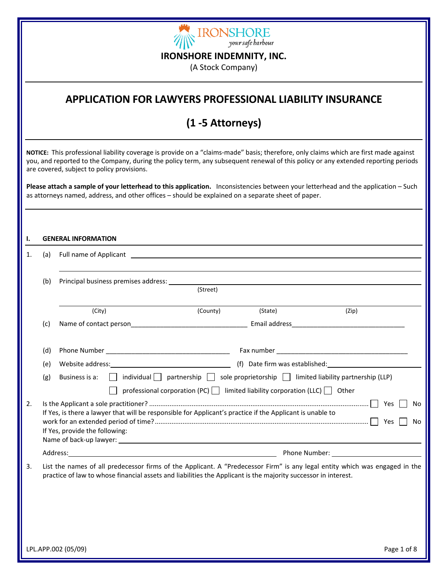

(A Stock Company)

## **APPLICATION FOR LAWYERS PROFESSIONAL LIABILITY INSURANCE**

## **(1 ‐5 Attorneys)**

**NOTICE:** This professional liability coverage is provide on a "claims‐made" basis; therefore, only claims which are first made against you, and reported to the Company, during the policy term, any subsequent renewal of this policy or any extended reporting periods are covered, subject to policy provisions.

**Please attach a sample of your letterhead to this application.** Inconsistencies between your letterhead and the application – Such as attorneys named, address, and other offices – should be explained on a separate sheet of paper.

| Ι. |     | <b>GENERAL INFORMATION</b>                                                                                                                                                                                                         |          |         |                                                                                                                                                                                                                               |
|----|-----|------------------------------------------------------------------------------------------------------------------------------------------------------------------------------------------------------------------------------------|----------|---------|-------------------------------------------------------------------------------------------------------------------------------------------------------------------------------------------------------------------------------|
| 1. | (a) | Full name of Applicant <b>Exercise 2018 CONSERVANT CONSERVANT CONSERVANT CONSERVANT CONSERVANT CONSERVANT CONSERVANT CONSERVANT CONSERVANT CONSERVANT CONSERVANT CONSERVANT CONSERVANT CONSERVANT CONSERVANT CONSERVANT CONSER</b> |          |         |                                                                                                                                                                                                                               |
|    | (b) |                                                                                                                                                                                                                                    | (Street) |         |                                                                                                                                                                                                                               |
|    |     | (City)                                                                                                                                                                                                                             | (County) | (State) | (Zip)                                                                                                                                                                                                                         |
|    | (c) | Name of contact person exercise the contract of the contract person contract person and contract person of the contract of the contract of the contract of the contract of the contract of the contract of the contract of the     |          |         |                                                                                                                                                                                                                               |
|    | (d) |                                                                                                                                                                                                                                    |          |         |                                                                                                                                                                                                                               |
|    | (e) |                                                                                                                                                                                                                                    |          |         |                                                                                                                                                                                                                               |
|    | (g) | Business is a:                                                                                                                                                                                                                     |          |         | $\Box$ individual $\Box$ partnership $\Box$ sole proprietorship $\Box$ limited liability partnership (LLP)<br>professional corporation (PC) $\Box$ limited liability corporation (LLC) $\Box$ Other                           |
| 2. |     | If Yes, is there a lawyer that will be responsible for Applicant's practice if the Applicant is unable to<br>If Yes, provide the following:                                                                                        |          |         | Yes<br>No.<br>Yes<br>No                                                                                                                                                                                                       |
|    |     |                                                                                                                                                                                                                                    |          |         | Phone Number: The contract of the contract of the contract of the contract of the contract of the contract of the contract of the contract of the contract of the contract of the contract of the contract of the contract of |
| 3. |     | practice of law to whose financial assets and liabilities the Applicant is the majority successor in interest.                                                                                                                     |          |         | List the names of all predecessor firms of the Applicant. A "Predecessor Firm" is any legal entity which was engaged in the                                                                                                   |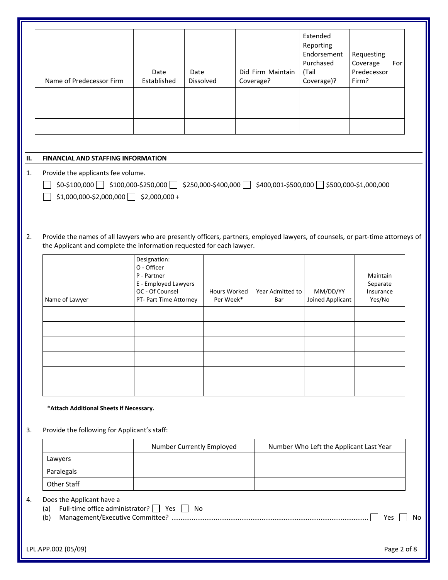|    |                                                                                                                                                                                                                                                                              | Date                                                                                  | Date      |              |           | Did Firm Maintain | Extended<br>Reporting<br>Endorsement<br>Purchased<br>(Tail | Requesting<br>Coverage<br>For<br>Predecessor |    |
|----|------------------------------------------------------------------------------------------------------------------------------------------------------------------------------------------------------------------------------------------------------------------------------|---------------------------------------------------------------------------------------|-----------|--------------|-----------|-------------------|------------------------------------------------------------|----------------------------------------------|----|
|    | Name of Predecessor Firm                                                                                                                                                                                                                                                     | Established                                                                           | Dissolved |              | Coverage? |                   | Coverage)?                                                 | Firm?                                        |    |
|    |                                                                                                                                                                                                                                                                              |                                                                                       |           |              |           |                   |                                                            |                                              |    |
|    |                                                                                                                                                                                                                                                                              |                                                                                       |           |              |           |                   |                                                            |                                              |    |
|    |                                                                                                                                                                                                                                                                              |                                                                                       |           |              |           |                   |                                                            |                                              |    |
|    |                                                                                                                                                                                                                                                                              |                                                                                       |           |              |           |                   |                                                            |                                              |    |
| П. | <b>FINANCIAL AND STAFFING INFORMATION</b>                                                                                                                                                                                                                                    |                                                                                       |           |              |           |                   |                                                            |                                              |    |
| 1. | Provide the applicants fee volume.<br>$\frac{1}{2}$ \$100,000 $\frac{1}{2}$ \$100,000-\$250,000 $\frac{1}{2}$ \$250,000-\$400,000 $\frac{1}{2}$ \$400,001-\$500,000 $\frac{1}{2}$ \$500,000-\$1,000,000<br>$$1,000,000-\$2,000,000$ $$2,000,000+\$2,000,000+\$2,000+\$2,000$ |                                                                                       |           |              |           |                   |                                                            |                                              |    |
| 2. | Provide the names of all lawyers who are presently officers, partners, employed lawyers, of counsels, or part-time attorneys of<br>the Applicant and complete the information requested for each lawyer.                                                                     |                                                                                       |           |              |           |                   |                                                            |                                              |    |
|    |                                                                                                                                                                                                                                                                              | Designation:<br>O - Officer<br>P - Partner<br>E - Employed Lawyers<br>OC - Of Counsel |           | Hours Worked |           | Year Admitted to  | MM/DD/YY                                                   | Maintain<br>Separate<br>Insurance            |    |
|    | Name of Lawyer                                                                                                                                                                                                                                                               | PT- Part Time Attorney                                                                |           | Per Week*    |           | Bar               | Joined Applicant                                           | Yes/No                                       |    |
|    |                                                                                                                                                                                                                                                                              |                                                                                       |           |              |           |                   |                                                            |                                              |    |
|    |                                                                                                                                                                                                                                                                              |                                                                                       |           |              |           |                   |                                                            |                                              |    |
|    |                                                                                                                                                                                                                                                                              |                                                                                       |           |              |           |                   |                                                            |                                              |    |
|    | *Attach Additional Sheets if Necessary.                                                                                                                                                                                                                                      |                                                                                       |           |              |           |                   |                                                            |                                              |    |
| 3. | Provide the following for Applicant's staff:                                                                                                                                                                                                                                 |                                                                                       |           |              |           |                   |                                                            |                                              |    |
|    |                                                                                                                                                                                                                                                                              | Number Currently Employed                                                             |           |              |           |                   | Number Who Left the Applicant Last Year                    |                                              |    |
|    | Lawyers                                                                                                                                                                                                                                                                      |                                                                                       |           |              |           |                   |                                                            |                                              |    |
|    | Paralegals                                                                                                                                                                                                                                                                   |                                                                                       |           |              |           |                   |                                                            |                                              |    |
|    | Other Staff                                                                                                                                                                                                                                                                  |                                                                                       |           |              |           |                   |                                                            |                                              |    |
| 4. | Does the Applicant have a<br>Full-time office administrator?   Yes<br>(a)<br>(b)                                                                                                                                                                                             |                                                                                       | No        |              |           |                   |                                                            | Yes                                          | No |
|    | LPL.APP.002 (05/09)                                                                                                                                                                                                                                                          |                                                                                       |           |              |           |                   |                                                            | Page 2 of 8                                  |    |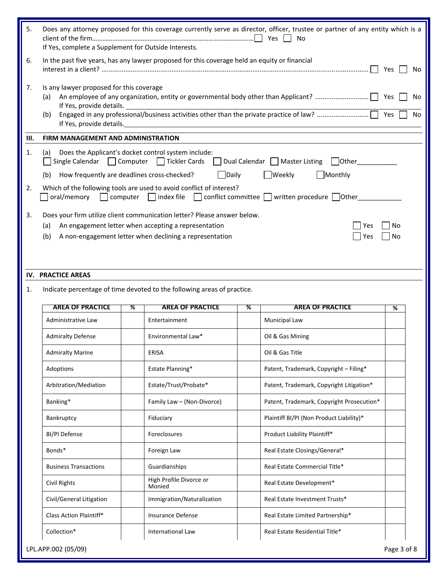| 5. | Does any attorney proposed for this coverage currently serve as director, officer, trustee or partner of any entity which is a<br><b>No</b><br>If Yes, complete a Supplement for Outside Interests.                                                    |                                                                                                                                                                                             |                                                  |          |  |  |  |  |
|----|--------------------------------------------------------------------------------------------------------------------------------------------------------------------------------------------------------------------------------------------------------|---------------------------------------------------------------------------------------------------------------------------------------------------------------------------------------------|--------------------------------------------------|----------|--|--|--|--|
| 6. | In the past five years, has any lawyer proposed for this coverage held an equity or financial<br>Yes<br>No.                                                                                                                                            |                                                                                                                                                                                             |                                                  |          |  |  |  |  |
| 7. | Is any lawyer proposed for this coverage<br>Yes<br>(a)<br>No<br>If Yes, provide details.<br>Yes<br>(b)<br>No<br>If Yes, provide details.                                                                                                               |                                                                                                                                                                                             |                                                  |          |  |  |  |  |
| Ш. | FIRM MANAGEMENT AND ADMINISTRATION                                                                                                                                                                                                                     |                                                                                                                                                                                             |                                                  |          |  |  |  |  |
| 1. | Does the Applicant's docket control system include:<br>(a)<br>Single Calendar   Computer   Tickler Cards<br>    Dual Calendar     Master Listing<br>$\vert$ Other<br>How frequently are deadlines cross-checked?<br>Daily<br> Weekly<br>Monthly<br>(b) |                                                                                                                                                                                             |                                                  |          |  |  |  |  |
| 2. | oral/memory                                                                                                                                                                                                                                            | Which of the following tools are used to avoid conflict of interest?<br>$\Box$ computer $\Box$ index file                                                                                   | □ conflict committee ■ written procedure ■ Other |          |  |  |  |  |
| 3. | (a)<br>(b)                                                                                                                                                                                                                                             | Does your firm utilize client communication letter? Please answer below.<br>An engagement letter when accepting a representation<br>A non-engagement letter when declining a representation | Yes<br>Yes                                       | No<br>No |  |  |  |  |
|    | IV. PRACTICE AREAS                                                                                                                                                                                                                                     |                                                                                                                                                                                             |                                                  |          |  |  |  |  |
| 1. |                                                                                                                                                                                                                                                        | Indicate percentage of time devoted to the following areas of practice.                                                                                                                     |                                                  |          |  |  |  |  |
|    | <b>AREA OF PRACTICE</b>                                                                                                                                                                                                                                | <b>AREA OF PRACTICE</b><br>%                                                                                                                                                                | <b>AREA OF PRACTICE</b><br>%                     | %        |  |  |  |  |
|    | Administrative Law                                                                                                                                                                                                                                     | Entertainment                                                                                                                                                                               | <b>Municipal Law</b>                             |          |  |  |  |  |
|    | <b>Admiralty Defense</b>                                                                                                                                                                                                                               | Environmental Law*                                                                                                                                                                          | Oil & Gas Mining                                 |          |  |  |  |  |
|    | <b>Admiralty Marine</b>                                                                                                                                                                                                                                | ERISA                                                                                                                                                                                       | Oil & Gas Title                                  |          |  |  |  |  |
|    | Adoptions                                                                                                                                                                                                                                              | Estate Planning*                                                                                                                                                                            | Patent, Trademark, Copyright - Filing*           |          |  |  |  |  |
|    | Arbitration/Mediation                                                                                                                                                                                                                                  | Estate/Trust/Probate*                                                                                                                                                                       | Patent, Trademark, Copyright Litigation*         |          |  |  |  |  |
|    | Banking*                                                                                                                                                                                                                                               | Patent, Trademark, Copyright Prosecution*                                                                                                                                                   |                                                  |          |  |  |  |  |
|    | Bankruptcy                                                                                                                                                                                                                                             | Plaintiff BI/PI (Non Product Liability)*                                                                                                                                                    |                                                  |          |  |  |  |  |
|    | BI/PI Defense                                                                                                                                                                                                                                          | Product Liability Plaintiff*                                                                                                                                                                |                                                  |          |  |  |  |  |
|    | Bonds*                                                                                                                                                                                                                                                 | Foreign Law                                                                                                                                                                                 | Real Estate Closings/General*                    |          |  |  |  |  |
|    | <b>Business Transactions</b>                                                                                                                                                                                                                           | Guardianships                                                                                                                                                                               | Real Estate Commercial Title*                    |          |  |  |  |  |
|    | Civil Rights                                                                                                                                                                                                                                           | High Profile Divorce or<br>Monied                                                                                                                                                           | Real Estate Development*                         |          |  |  |  |  |
|    | Civil/General Litigation                                                                                                                                                                                                                               | Immigration/Naturalization                                                                                                                                                                  | Real Estate Investment Trusts*                   |          |  |  |  |  |
|    |                                                                                                                                                                                                                                                        |                                                                                                                                                                                             |                                                  |          |  |  |  |  |
|    | Class Action Plaintiff*                                                                                                                                                                                                                                | Insurance Defense                                                                                                                                                                           | Real Estate Limited Partnership*                 |          |  |  |  |  |
|    | Collection*                                                                                                                                                                                                                                            | <b>International Law</b>                                                                                                                                                                    | Real Estate Residential Title*                   |          |  |  |  |  |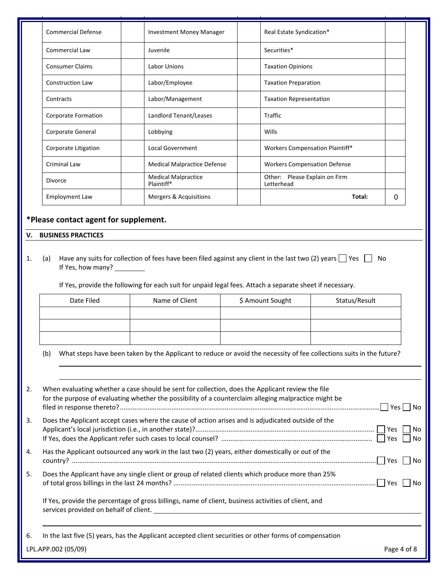|                                                   | <b>Commercial Defense</b>                                       | <b>Investment Money Manager</b>                                                                                                                                                                           | Real Estate Syndication*            |                               |    |
|---------------------------------------------------|-----------------------------------------------------------------|-----------------------------------------------------------------------------------------------------------------------------------------------------------------------------------------------------------|-------------------------------------|-------------------------------|----|
|                                                   | Commercial Law                                                  | Juvenile                                                                                                                                                                                                  | Securities*                         |                               |    |
|                                                   | <b>Consumer Claims</b>                                          | <b>Labor Unions</b>                                                                                                                                                                                       | <b>Taxation Opinions</b>            |                               |    |
|                                                   | <b>Construction Law</b>                                         | Labor/Employee                                                                                                                                                                                            | <b>Taxation Preparation</b>         |                               |    |
|                                                   | Contracts                                                       | Labor/Management                                                                                                                                                                                          | <b>Taxation Representation</b>      |                               |    |
|                                                   | Corporate Formation                                             | Landlord Tenant/Leases                                                                                                                                                                                    | <b>Traffic</b>                      |                               |    |
|                                                   | Corporate General                                               | Lobbying                                                                                                                                                                                                  | Wills                               |                               |    |
|                                                   | Corporate Litigation                                            | Local Government                                                                                                                                                                                          | Workers Compensation Plaintiff*     |                               |    |
|                                                   | <b>Criminal Law</b>                                             | <b>Medical Malpractice Defense</b>                                                                                                                                                                        | <b>Workers Compensation Defense</b> |                               |    |
|                                                   | <b>Divorce</b>                                                  | <b>Medical Malpractice</b><br>Plaintiff*                                                                                                                                                                  | Letterhead                          | Other: Please Explain on Firm |    |
|                                                   | <b>Employment Law</b>                                           | <b>Mergers &amp; Acquisitions</b>                                                                                                                                                                         |                                     | Total:                        | 0  |
|                                                   | <b>BUSINESS PRACTICES</b><br>(a)<br>If Yes, how many? _________ | Have any suits for collection of fees have been filed against any client in the last two (2) years $\Box$ Yes                                                                                             |                                     |                               | No |
| *Please contact agent for supplement.<br>v.<br>1. | Date Filed                                                      | If Yes, provide the following for each suit for unpaid legal fees. Attach a separate sheet if necessary.<br>Name of Client                                                                                | \$ Amount Sought                    | Status/Result                 |    |
|                                                   | (b)                                                             | What steps have been taken by the Applicant to reduce or avoid the necessity of fee collections suits in the future?                                                                                      |                                     |                               |    |
|                                                   |                                                                 | When evaluating whether a case should be sent for collection, does the Applicant review the file<br>for the purpose of evaluating whether the possibility of a counterclaim alleging malpractice might be |                                     |                               |    |
|                                                   |                                                                 | Does the Applicant accept cases where the cause of action arises and is adjudicated outside of the                                                                                                        |                                     |                               |    |
|                                                   |                                                                 | Has the Applicant outsourced any work in the last two (2) years, either domestically or out of the                                                                                                        |                                     |                               |    |
|                                                   |                                                                 | Does the Applicant have any single client or group of related clients which produce more than 25%                                                                                                         |                                     |                               |    |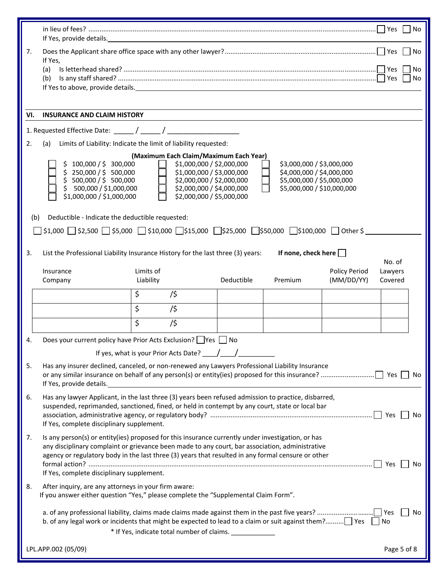|     | If Yes, provide details. Manual Assembly of Yes, provide details.                                                                                                                                                                                                                                                                                                                                                                          |                        |                                                                        |            |                            |                                    | Yes                | No          |
|-----|--------------------------------------------------------------------------------------------------------------------------------------------------------------------------------------------------------------------------------------------------------------------------------------------------------------------------------------------------------------------------------------------------------------------------------------------|------------------------|------------------------------------------------------------------------|------------|----------------------------|------------------------------------|--------------------|-------------|
| 7.  |                                                                                                                                                                                                                                                                                                                                                                                                                                            |                        |                                                                        |            |                            |                                    |                    | No          |
|     | If Yes,<br>(a)<br>(b)                                                                                                                                                                                                                                                                                                                                                                                                                      |                        |                                                                        |            |                            |                                    |                    | No<br>No    |
|     |                                                                                                                                                                                                                                                                                                                                                                                                                                            |                        |                                                                        |            |                            |                                    |                    |             |
| VI. | <b>INSURANCE AND CLAIM HISTORY</b>                                                                                                                                                                                                                                                                                                                                                                                                         |                        |                                                                        |            |                            |                                    |                    |             |
|     |                                                                                                                                                                                                                                                                                                                                                                                                                                            |                        |                                                                        |            |                            |                                    |                    |             |
| 2.  | (a)<br>Limits of Liability: Indicate the limit of liability requested:                                                                                                                                                                                                                                                                                                                                                                     |                        |                                                                        |            |                            |                                    |                    |             |
|     | (Maximum Each Claim/Maximum Each Year)<br>\$1,000,000 / \$2,000,000<br>100,000 / \$ 300,000<br>\$3,000,000 / \$3,000,000<br>250,000 / \$ 500,000<br>\$1,000,000 / \$3,000,000<br>\$4,000,000 / \$4,000,000<br>500,000 / \$ 500,000<br>\$2,000,000 / \$2,000,000<br>\$5,000,000 / \$5,000,000<br>500,000 / \$1,000,000<br>\$2,000,000 / \$4,000,000<br>\$5,000,000 / \$10,000,000<br>\$1,000,000 / \$1,000,000<br>\$2,000,000 / \$5,000,000 |                        |                                                                        |            |                            |                                    |                    |             |
| (b) | Deductible - Indicate the deductible requested:                                                                                                                                                                                                                                                                                                                                                                                            |                        |                                                                        |            |                            |                                    |                    |             |
|     | $\frac{1}{2}$ \$2,500 $\frac{1}{2}$ \$5,000 $\frac{1}{2}$ \$10,000 $\frac{1}{2}$ \$15,000 $\frac{1}{2}$ \$25,000 $\frac{1}{2}$ \$50,000 $\frac{1}{2}$ \$100,000 $\frac{1}{2}$ Other \$                                                                                                                                                                                                                                                     |                        |                                                                        |            |                            |                                    |                    |             |
| 3.  | List the Professional Liability Insurance History for the last three (3) years:                                                                                                                                                                                                                                                                                                                                                            |                        |                                                                        |            | If none, check here $\Box$ |                                    | No. of             |             |
|     | Insurance<br>Company                                                                                                                                                                                                                                                                                                                                                                                                                       | Limits of<br>Liability |                                                                        | Deductible | Premium                    | <b>Policy Period</b><br>(MM/DD/YY) | Lawyers<br>Covered |             |
|     |                                                                                                                                                                                                                                                                                                                                                                                                                                            | \$                     | /\$                                                                    |            |                            |                                    |                    |             |
|     |                                                                                                                                                                                                                                                                                                                                                                                                                                            | \$                     | /\$                                                                    |            |                            |                                    |                    |             |
|     |                                                                                                                                                                                                                                                                                                                                                                                                                                            | \$                     | /\$                                                                    |            |                            |                                    |                    |             |
| 4.  | Does your current policy have Prior Acts Exclusion? Ves ∩ No                                                                                                                                                                                                                                                                                                                                                                               |                        |                                                                        |            |                            |                                    |                    |             |
|     |                                                                                                                                                                                                                                                                                                                                                                                                                                            |                        | If yes, what is your Prior Acts Date? $\frac{1}{\sqrt{1-\frac{1}{n}}}$ |            |                            |                                    |                    |             |
| 5.  | Has any insurer declined, canceled, or non-renewed any Lawyers Professional Liability Insurance<br>If Yes, provide details. The contract of the contract of the contract of the contract of the contract of the contract of the contract of the contract of the contract of the contract of the contract of the contract of the c                                                                                                          |                        |                                                                        |            |                            |                                    |                    | No          |
| 6.  | Has any lawyer Applicant, in the last three (3) years been refused admission to practice, disbarred,<br>suspended, reprimanded, sanctioned, fined, or held in contempt by any court, state or local bar<br>If Yes, complete disciplinary supplement.                                                                                                                                                                                       |                        |                                                                        |            |                            |                                    | No                 |             |
| 7.  | Is any person(s) or entity(ies) proposed for this insurance currently under investigation, or has<br>any disciplinary complaint or grievance been made to any court, bar association, administrative<br>agency or regulatory body in the last three (3) years that resulted in any formal censure or other<br>If Yes, complete disciplinary supplement.                                                                                    |                        |                                                                        |            |                            |                                    | No.                |             |
| 8.  | After inquiry, are any attorneys in your firm aware:<br>If you answer either question "Yes," please complete the "Supplemental Claim Form".                                                                                                                                                                                                                                                                                                |                        |                                                                        |            |                            |                                    |                    |             |
|     |                                                                                                                                                                                                                                                                                                                                                                                                                                            |                        | * If Yes, indicate total number of claims. ____________                |            |                            |                                    |                    | No          |
|     | LPL.APP.002 (05/09)                                                                                                                                                                                                                                                                                                                                                                                                                        |                        |                                                                        |            |                            |                                    |                    | Page 5 of 8 |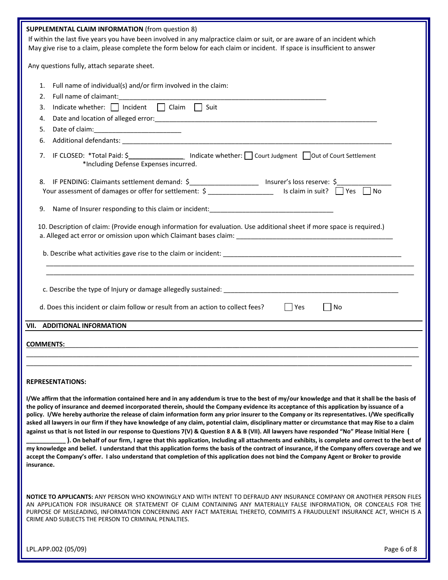| <b>SUPPLEMENTAL CLAIM INFORMATION (from question 8)</b>                                                                                                                                                                                                                                                                                                                                                                                                                                                                                                                                                                                                                                                                                                                                                                                                                                                                                                                                                                                                                                                                                                                                                  |
|----------------------------------------------------------------------------------------------------------------------------------------------------------------------------------------------------------------------------------------------------------------------------------------------------------------------------------------------------------------------------------------------------------------------------------------------------------------------------------------------------------------------------------------------------------------------------------------------------------------------------------------------------------------------------------------------------------------------------------------------------------------------------------------------------------------------------------------------------------------------------------------------------------------------------------------------------------------------------------------------------------------------------------------------------------------------------------------------------------------------------------------------------------------------------------------------------------|
| If within the last five years you have been involved in any malpractice claim or suit, or are aware of an incident which                                                                                                                                                                                                                                                                                                                                                                                                                                                                                                                                                                                                                                                                                                                                                                                                                                                                                                                                                                                                                                                                                 |
| May give rise to a claim, please complete the form below for each claim or incident. If space is insufficient to answer                                                                                                                                                                                                                                                                                                                                                                                                                                                                                                                                                                                                                                                                                                                                                                                                                                                                                                                                                                                                                                                                                  |
| Any questions fully, attach separate sheet.                                                                                                                                                                                                                                                                                                                                                                                                                                                                                                                                                                                                                                                                                                                                                                                                                                                                                                                                                                                                                                                                                                                                                              |
| Full name of individual(s) and/or firm involved in the claim:<br>1.                                                                                                                                                                                                                                                                                                                                                                                                                                                                                                                                                                                                                                                                                                                                                                                                                                                                                                                                                                                                                                                                                                                                      |
| 2.                                                                                                                                                                                                                                                                                                                                                                                                                                                                                                                                                                                                                                                                                                                                                                                                                                                                                                                                                                                                                                                                                                                                                                                                       |
| Indicate whether: $\Box$ Incident $\Box$ Claim $\Box$ Suit<br>3.                                                                                                                                                                                                                                                                                                                                                                                                                                                                                                                                                                                                                                                                                                                                                                                                                                                                                                                                                                                                                                                                                                                                         |
| 4.                                                                                                                                                                                                                                                                                                                                                                                                                                                                                                                                                                                                                                                                                                                                                                                                                                                                                                                                                                                                                                                                                                                                                                                                       |
| Date of claim:<br>5.                                                                                                                                                                                                                                                                                                                                                                                                                                                                                                                                                                                                                                                                                                                                                                                                                                                                                                                                                                                                                                                                                                                                                                                     |
| 6.                                                                                                                                                                                                                                                                                                                                                                                                                                                                                                                                                                                                                                                                                                                                                                                                                                                                                                                                                                                                                                                                                                                                                                                                       |
|                                                                                                                                                                                                                                                                                                                                                                                                                                                                                                                                                                                                                                                                                                                                                                                                                                                                                                                                                                                                                                                                                                                                                                                                          |
| 7. IF CLOSED: *Total Paid: \$ 1000 Indicate whether: S Court Judgment C Out of Court Settlement<br>*Including Defense Expenses incurred.                                                                                                                                                                                                                                                                                                                                                                                                                                                                                                                                                                                                                                                                                                                                                                                                                                                                                                                                                                                                                                                                 |
|                                                                                                                                                                                                                                                                                                                                                                                                                                                                                                                                                                                                                                                                                                                                                                                                                                                                                                                                                                                                                                                                                                                                                                                                          |
| 8. IF PENDING: Claimants settlement demand: $\frac{1}{2}$ Insurer's loss reserve: $\frac{1}{2}$ Your assessment of damages or offer for settlement: $\frac{1}{2}$ Is claim in suit? $\Box$ Yes<br>  Yes<br>l No                                                                                                                                                                                                                                                                                                                                                                                                                                                                                                                                                                                                                                                                                                                                                                                                                                                                                                                                                                                          |
|                                                                                                                                                                                                                                                                                                                                                                                                                                                                                                                                                                                                                                                                                                                                                                                                                                                                                                                                                                                                                                                                                                                                                                                                          |
|                                                                                                                                                                                                                                                                                                                                                                                                                                                                                                                                                                                                                                                                                                                                                                                                                                                                                                                                                                                                                                                                                                                                                                                                          |
| 10. Description of claim: (Provide enough information for evaluation. Use additional sheet if more space is required.)                                                                                                                                                                                                                                                                                                                                                                                                                                                                                                                                                                                                                                                                                                                                                                                                                                                                                                                                                                                                                                                                                   |
|                                                                                                                                                                                                                                                                                                                                                                                                                                                                                                                                                                                                                                                                                                                                                                                                                                                                                                                                                                                                                                                                                                                                                                                                          |
|                                                                                                                                                                                                                                                                                                                                                                                                                                                                                                                                                                                                                                                                                                                                                                                                                                                                                                                                                                                                                                                                                                                                                                                                          |
|                                                                                                                                                                                                                                                                                                                                                                                                                                                                                                                                                                                                                                                                                                                                                                                                                                                                                                                                                                                                                                                                                                                                                                                                          |
|                                                                                                                                                                                                                                                                                                                                                                                                                                                                                                                                                                                                                                                                                                                                                                                                                                                                                                                                                                                                                                                                                                                                                                                                          |
| d. Does this incident or claim follow or result from an action to collect fees?<br>Yes<br>  No                                                                                                                                                                                                                                                                                                                                                                                                                                                                                                                                                                                                                                                                                                                                                                                                                                                                                                                                                                                                                                                                                                           |
| VII. ADDITIONAL INFORMATION                                                                                                                                                                                                                                                                                                                                                                                                                                                                                                                                                                                                                                                                                                                                                                                                                                                                                                                                                                                                                                                                                                                                                                              |
|                                                                                                                                                                                                                                                                                                                                                                                                                                                                                                                                                                                                                                                                                                                                                                                                                                                                                                                                                                                                                                                                                                                                                                                                          |
| <b>COMMENTS:</b>                                                                                                                                                                                                                                                                                                                                                                                                                                                                                                                                                                                                                                                                                                                                                                                                                                                                                                                                                                                                                                                                                                                                                                                         |
|                                                                                                                                                                                                                                                                                                                                                                                                                                                                                                                                                                                                                                                                                                                                                                                                                                                                                                                                                                                                                                                                                                                                                                                                          |
|                                                                                                                                                                                                                                                                                                                                                                                                                                                                                                                                                                                                                                                                                                                                                                                                                                                                                                                                                                                                                                                                                                                                                                                                          |
| <b>REPRESENTATIONS:</b>                                                                                                                                                                                                                                                                                                                                                                                                                                                                                                                                                                                                                                                                                                                                                                                                                                                                                                                                                                                                                                                                                                                                                                                  |
|                                                                                                                                                                                                                                                                                                                                                                                                                                                                                                                                                                                                                                                                                                                                                                                                                                                                                                                                                                                                                                                                                                                                                                                                          |
| I/We affirm that the information contained here and in any addendum is true to the best of my/our knowledge and that it shall be the basis of<br>the policy of insurance and deemed incorporated therein, should the Company evidence its acceptance of this application by issuance of a<br>policy. I/We hereby authorize the release of claim information form any prior insurer to the Company or its representatives. I/We specifically<br>asked all lawyers in our firm if they have knowledge of any claim, potential claim, disciplinary matter or circumstance that may Rise to a claim<br>against us that is not listed in our response to Questions 7(V) & Question 8 A & B (VII). All lawyers have responded "No" Please Initial Here (<br>). On behalf of our firm, I agree that this application, Including all attachments and exhibits, is complete and correct to the best of<br>my knowledge and belief. I understand that this application forms the basis of the contract of insurance, if the Company offers coverage and we<br>accept the Company's offer. I also understand that completion of this application does not bind the Company Agent or Broker to provide<br>insurance. |
| NOTICE TO APPLICANTS: ANY PERSON WHO KNOWINGLY AND WITH INTENT TO DEFRAUD ANY INSURANCE COMPANY OR ANOTHER PERSON FILES<br>AN APPLICATION FOR INSURANCE OR STATEMENT OF CLAIM CONTAINING ANY MATERIALLY FALSE INFORMATION, OR CONCEALS FOR THE<br>PURPOSE OF MISLEADING, INFORMATION CONCERNING ANY FACT MATERIAL THERETO, COMMITS A FRAUDULENT INSURANCE ACT, WHICH IS A<br>CRIME AND SUBJECTS THE PERSON TO CRIMINAL PENALTIES.                                                                                                                                                                                                                                                                                                                                                                                                                                                                                                                                                                                                                                                                                                                                                                        |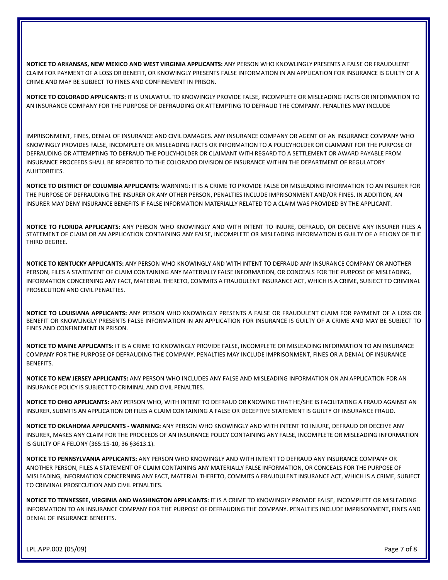**NOTICE TO ARKANSAS, NEW MEXICO AND WEST VIRGINIA APPLICANTS:** ANY PERSON WHO KNOWLINGLY PRESENTS A FALSE OR FRAUDULENT CLAIM FOR PAYMENT OF A LOSS OR BENEFIT, OR KNOWINGLY PRESENTS FALSE INFORMATION IN AN APPLICATION FOR INSURANCE IS GUILTY OF A CRIME AND MAY BE SUBJECT TO FINES AND CONFINEMENT IN PRISON.

**NOTICE TO COLORADO APPLICANTS:** IT IS UNLAWFUL TO KNOWINGLY PROVIDE FALSE, INCOMPLETE OR MISLEADING FACTS OR INFORMATION TO AN INSURANCE COMPANY FOR THE PURPOSE OF DEFRAUDING OR ATTEMPTING TO DEFRAUD THE COMPANY. PENALTIES MAY INCLUDE

IMPRISONMENT, FINES, DENIAL OF INSURANCE AND CIVIL DAMAGES. ANY INSURANCE COMPANY OR AGENT OF AN INSURANCE COMPANY WHO KNOWINGLY PROVIDES FALSE, INCOMPLETE OR MISLEADING FACTS OR INFORMATION TO A POLICYHOLDER OR CLAIMANT FOR THE PURPOSE OF DEFRAUDING OR ATTEMPTING TO DEFRAUD THE POLICYHOLDER OR CLAIMANT WITH REGARD TO A SETTLEMENT OR AWARD PAYABLE FROM INSURANCE PROCEEDS SHALL BE REPORTED TO THE COLORADO DIVISION OF INSURANCE WITHIN THE DEPARTMENT OF REGULATORY AUHTORITIES.

**NOTICE TO DISTRICT OF COLUMBIA APPLICANTS:** WARNING: IT IS A CRIME TO PROVIDE FALSE OR MISLEADING INFORMATION TO AN INSURER FOR THE PURPOSE OF DEFRAUDING THE INSURER OR ANY OTHER PERSON, PENALTIES INCLUDE IMPRISONMENT AND/OR FINES. IN ADDITION, AN INSURER MAY DENY INSURANCE BENEFITS IF FALSE INFORMATION MATERIALLY RELATED TO A CLAIM WAS PROVIDED BY THE APPLICANT.

**NOTICE TO FLORIDA APPLICANTS:** ANY PERSON WHO KNOWINGLY AND WITH INTENT TO INJURE, DEFRAUD, OR DECEIVE ANY INSURER FILES A STATEMENT OF CLAIM OR AN APPLICATION CONTAINING ANY FALSE, INCOMPLETE OR MISLEADING INFORMATION IS GUILTY OF A FELONY OF THE THIRD DEGREE.

**NOTICE TO KENTUCKY APPLICANTS:** ANY PERSON WHO KNOWINGLY AND WITH INTENT TO DEFRAUD ANY INSURANCE COMPANY OR ANOTHER PERSON, FILES A STATEMENT OF CLAIM CONTAINING ANY MATERIALLY FALSE INFORMATION, OR CONCEALS FOR THE PURPOSE OF MISLEADING, INFORMATION CONCERNING ANY FACT, MATERIAL THERETO, COMMITS A FRAUDULENT INSURANCE ACT, WHICH IS A CRIME, SUBJECT TO CRIMINAL PROSECUTION AND CIVIL PENALTIES.

**NOTICE TO LOUISIANA APPLICANTS:** ANY PERSON WHO KNOWINGLY PRESENTS A FALSE OR FRAUDULENT CLAIM FOR PAYMENT OF A LOSS OR BENEFIT OR KNOWLINGLY PRESENTS FALSE INFORMATION IN AN APPLICATION FOR INSURANCE IS GUILTY OF A CRIME AND MAY BE SUBJECT TO FINES AND CONFINEMENT IN PRISON.

**NOTICE TO MAINE APPLICANTS:** IT IS A CRIME TO KNOWINGLY PROVIDE FALSE, INCOMPLETE OR MISLEADING INFORMATION TO AN INSURANCE COMPANY FOR THE PURPOSE OF DEFRAUDING THE COMPANY. PENALTIES MAY INCLUDE IMPRISONMENT, FINES OR A DENIAL OF INSURANCE BENEFITS.

**NOTICE TO NEW JERSEY APPLICANTS:** ANY PERSON WHO INCLUDES ANY FALSE AND MISLEADING INFORMATION ON AN APPLICATION FOR AN INSURANCE POLICY IS SUBJECT TO CRIMINAL AND CIVIL PENALTIES.

**NOTICE TO OHIO APPLICANTS:** ANY PERSON WHO, WITH INTENT TO DEFRAUD OR KNOWING THAT HE/SHE IS FACILITATING A FRAUD AGAINST AN INSURER, SUBMITS AN APPLICATION OR FILES A CLAIM CONTAINING A FALSE OR DECEPTIVE STATEMENT IS GUILTY OF INSURANCE FRAUD.

**NOTICE TO OKLAHOMA APPLICANTS ‐ WARNING:** ANY PERSON WHO KNOWINGLY AND WITH INTENT TO INJURE, DEFRAUD OR DECEIVE ANY INSURER, MAKES ANY CLAIM FOR THE PROCEEDS OF AN INSURANCE POLICY CONTAINING ANY FALSE, INCOMPLETE OR MISLEADING INFORMATION IS GUILTY OF A FELONY (365:15‐10, 36 §3613.1).

**NOTICE TO PENNSYLVANIA APPLICANTS:** ANY PERSON WHO KNOWINGLY AND WITH INTENT TO DEFRAUD ANY INSURANCE COMPANY OR ANOTHER PERSON, FILES A STATEMENT OF CLAIM CONTAINING ANY MATERIALLY FALSE INFORMATION, OR CONCEALS FOR THE PURPOSE OF MISLEADING, INFORMATION CONCERNING ANY FACT, MATERIAL THERETO, COMMITS A FRAUDULENT INSURANCE ACT, WHICH IS A CRIME, SUBJECT TO CRIMINAL PROSECUTION AND CIVIL PENALTIES.

**NOTICE TO TENNESSEE, VIRGINIA AND WASHINGTON APPLICANTS:** IT IS A CRIME TO KNOWINGLY PROVIDE FALSE, INCOMPLETE OR MISLEADING INFORMATION TO AN INSURANCE COMPANY FOR THE PURPOSE OF DEFRAUDING THE COMPANY. PENALTIES INCLUDE IMPRISONMENT, FINES AND DENIAL OF INSURANCE BENEFITS.

LPL.APP.002 (05/09) **Details a substitute of the contract of the contract of the contract of the contract of the contract of the contract of the contract of the contract of the contract of the contract of the contract of t**